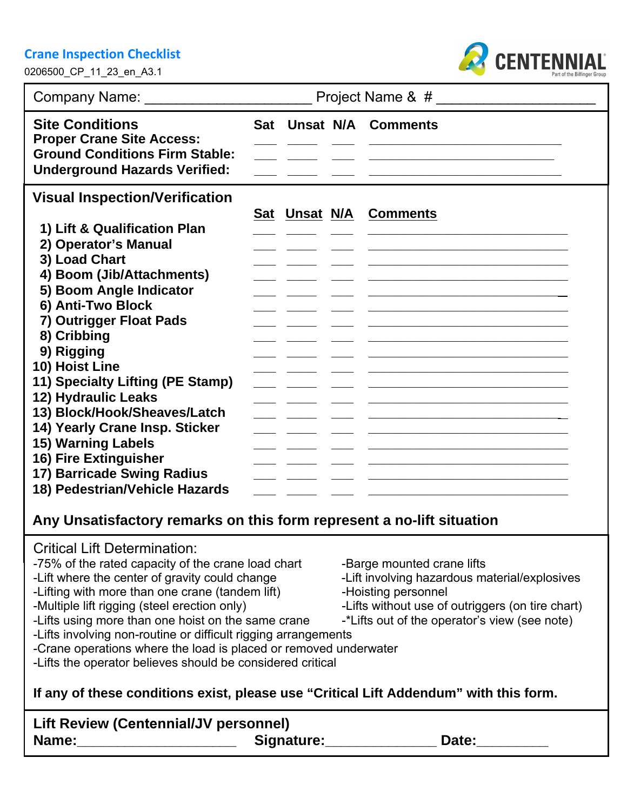#### **Crane Inspection Checklist**

0206500\_CP\_11\_23\_en\_A3.1



|                                                                                                                                                                                                                                                                                                                                                                  | Project Name & # |               |  |                               |
|------------------------------------------------------------------------------------------------------------------------------------------------------------------------------------------------------------------------------------------------------------------------------------------------------------------------------------------------------------------|------------------|---------------|--|-------------------------------|
| <b>Site Conditions</b><br><b>Proper Crane Site Access:</b><br><b>Ground Conditions Firm Stable:</b><br><b>Underground Hazards Verified:</b>                                                                                                                                                                                                                      |                  |               |  | <b>Sat Unsat N/A Comments</b> |
| <b>Visual Inspection/Verification</b><br>1) Lift & Qualification Plan<br>2) Operator's Manual<br>3) Load Chart<br>4) Boom (Jib/Attachments)<br>5) Boom Angle Indicator<br>6) Anti-Two Block<br>7) Outrigger Float Pads<br>8) Cribbing<br>9) Rigging<br>10) Hoist Line<br>11) Specialty Lifting (PE Stamp)<br>12) Hydraulic Leaks<br>13) Block/Hook/Sheaves/Latch |                  | Sat Unsat N/A |  | <b>Comments</b>               |
| 14) Yearly Crane Insp. Sticker<br><b>15) Warning Labels</b><br>16) Fire Extinguisher<br>17) Barricade Swing Radius<br>18) Pedestrian/Vehicle Hazards                                                                                                                                                                                                             |                  |               |  |                               |

## **Any Unsatisfactory remarks on this form represent a no-lift situation**

### Critical Lift Determination:

- -75% of the rated capacity of the crane load chart -Barge mounted crane lifts<br>-Lift where the center of gravity could change -Lift involving hazardous material/explosives
- -Lift where the center of gravity could change -Lift involving hazardous material/explosives
- -Lifting with more than one crane (tandem lift)<br>-Multiple lift rigging (steel erection only)
- 
- -Lifts using more than one hoist on the same crane
- -Lifts involving non-routine or difficult rigging arrangements
- -Crane operations where the load is placed or removed underwater
- -Lifts the operator believes should be considered critical

# **If any of these conditions exist, please use "Critical Lift Addendum" with this form.**

| <b>Lift Review (Centennial/JV personnel)</b> |            |       |
|----------------------------------------------|------------|-------|
| Name:                                        | Signature: | Date: |

- 
- 
- 
- -Lifts without use of outriggers (on tire chart)<br>-\*Lifts out of the operator's view (see note)
-